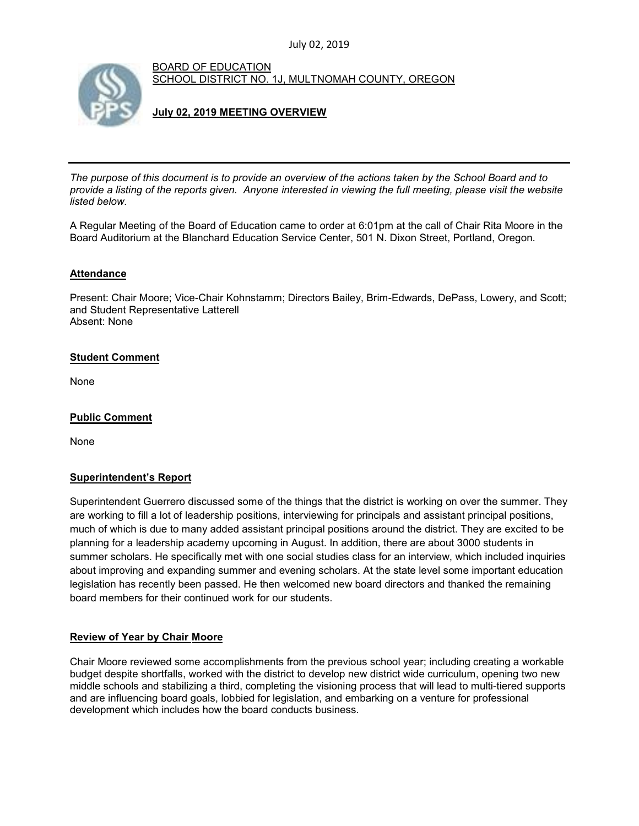

BOARD OF EDUCATION SCHOOL DISTRICT NO. 1J, MULTNOMAH COUNTY, OREGON

# **July 02, 2019 MEETING OVERVIEW**

*The purpose of this document is to provide an overview of the actions taken by the School Board and to provide a listing of the reports given. Anyone interested in viewing the full meeting, please visit the website listed below.*

A Regular Meeting of the Board of Education came to order at 6:01pm at the call of Chair Rita Moore in the Board Auditorium at the Blanchard Education Service Center, 501 N. Dixon Street, Portland, Oregon.

## **Attendance**

Present: Chair Moore; Vice-Chair Kohnstamm; Directors Bailey, Brim-Edwards, DePass, Lowery, and Scott; and Student Representative Latterell Absent: None

## **Student Comment**

None

# **Public Comment**

None

# **Superintendent's Report**

Superintendent Guerrero discussed some of the things that the district is working on over the summer. They are working to fill a lot of leadership positions, interviewing for principals and assistant principal positions, much of which is due to many added assistant principal positions around the district. They are excited to be planning for a leadership academy upcoming in August. In addition, there are about 3000 students in summer scholars. He specifically met with one social studies class for an interview, which included inquiries about improving and expanding summer and evening scholars. At the state level some important education legislation has recently been passed. He then welcomed new board directors and thanked the remaining board members for their continued work for our students.

# **Review of Year by Chair Moore**

Chair Moore reviewed some accomplishments from the previous school year; including creating a workable budget despite shortfalls, worked with the district to develop new district wide curriculum, opening two new middle schools and stabilizing a third, completing the visioning process that will lead to multi-tiered supports and are influencing board goals, lobbied for legislation, and embarking on a venture for professional development which includes how the board conducts business.